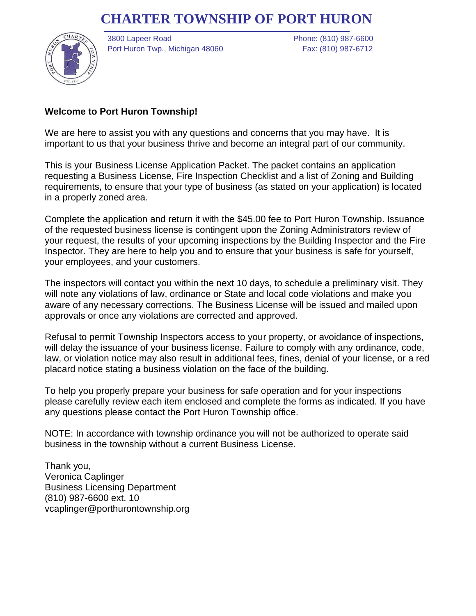## **CHARTER TOWNSHIP OF PORT HURON**



Port Huron Twp., Michigan 48060 Fax: (810) 987-6712

3800 Lapeer Road Phone: (810) 987-6600

### **Welcome to Port Huron Township!**

We are here to assist you with any questions and concerns that you may have. It is important to us that your business thrive and become an integral part of our community.

This is your Business License Application Packet. The packet contains an application requesting a Business License, Fire Inspection Checklist and a list of Zoning and Building requirements, to ensure that your type of business (as stated on your application) is located in a properly zoned area.

Complete the application and return it with the \$45.00 fee to Port Huron Township. Issuance of the requested business license is contingent upon the Zoning Administrators review of your request, the results of your upcoming inspections by the Building Inspector and the Fire Inspector. They are here to help you and to ensure that your business is safe for yourself, your employees, and your customers.

The inspectors will contact you within the next 10 days, to schedule a preliminary visit. They will note any violations of law, ordinance or State and local code violations and make you aware of any necessary corrections. The Business License will be issued and mailed upon approvals or once any violations are corrected and approved.

Refusal to permit Township Inspectors access to your property, or avoidance of inspections, will delay the issuance of your business license. Failure to comply with any ordinance, code, law, or violation notice may also result in additional fees, fines, denial of your license, or a red placard notice stating a business violation on the face of the building.

To help you properly prepare your business for safe operation and for your inspections please carefully review each item enclosed and complete the forms as indicated. If you have any questions please contact the Port Huron Township office.

NOTE: In accordance with township ordinance you will not be authorized to operate said business in the township without a current Business License.

Thank you, Veronica Caplinger Business Licensing Department (810) 987-6600 ext. 10 vcaplinger@porthurontownship.org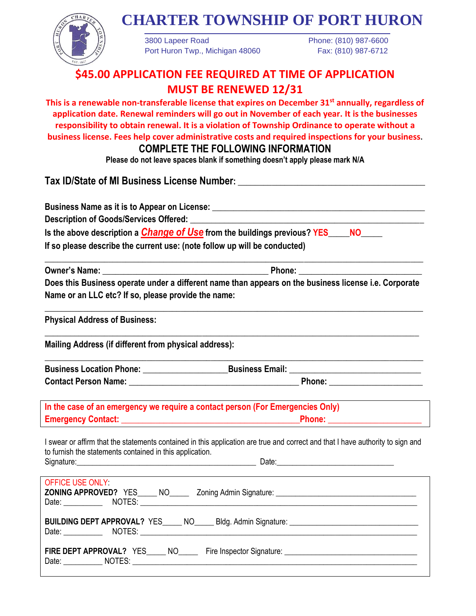**CHARTER TOWNSHIP OF PORT HURON**



 3800 Lapeer Road Phone: (810) 987-6600 Port Huron Twp., Michigan 48060 Fax: (810) 987-6712

### **\$45.00 APPLICATION FEE REQUIRED AT TIME OF APPLICATION MUST BE RENEWED 12/31**

**This is a renewable non-transferable license that expires on December 31st annually, regardless of application date. Renewal reminders will go out in November of each year. It is the businesses responsibility to obtain renewal. It is a violation of Township Ordinance to operate without a business license. Fees help cover administrative costs and required inspections for your business.**

### **COMPLETE THE FOLLOWING INFORMATION**

**Please do not leave spaces blank if something doesn't apply please mark N/A**

| Tax ID/State of MI Business License Number:                                                                        |                                                                                                                                |
|--------------------------------------------------------------------------------------------------------------------|--------------------------------------------------------------------------------------------------------------------------------|
|                                                                                                                    |                                                                                                                                |
|                                                                                                                    |                                                                                                                                |
| Is the above description a <i>Change of Use</i> from the buildings previous? YES_____NO_____                       |                                                                                                                                |
| If so please describe the current use: (note follow up will be conducted)                                          |                                                                                                                                |
|                                                                                                                    |                                                                                                                                |
| Name or an LLC etc? If so, please provide the name:                                                                | Does this Business operate under a different name than appears on the business license i.e. Corporate                          |
| <b>Physical Address of Business:</b>                                                                               |                                                                                                                                |
| Mailing Address (if different from physical address):                                                              |                                                                                                                                |
|                                                                                                                    | Business Location Phone: ___________________________________Business Email: __________________________________                 |
|                                                                                                                    |                                                                                                                                |
| In the case of an emergency we require a contact person (For Emergencies Only)                                     |                                                                                                                                |
|                                                                                                                    |                                                                                                                                |
| to furnish the statements contained in this application.                                                           | I swear or affirm that the statements contained in this application are true and correct and that I have authority to sign and |
|                                                                                                                    |                                                                                                                                |
| <b>OFFICE USE ONLY:</b><br><b>ZONING APPROVED?</b> YES_____ NO______ Zoning Admin Signature: _____________________ |                                                                                                                                |
|                                                                                                                    |                                                                                                                                |
|                                                                                                                    |                                                                                                                                |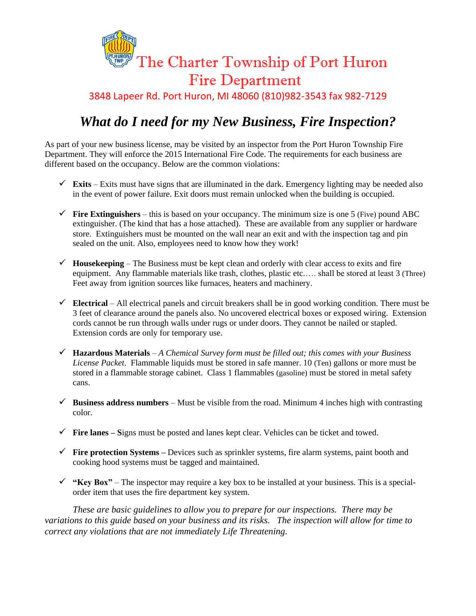

3848 Lapeer Rd. Port Huron, MI 48060 (810)982-3543 fax 982-7129

## *What do I need for my New Business, Fire Inspection?*

As part of your new business license, may be visited by an inspector from the Port Huron Township Fire Department. They will enforce the 2015 International Fire Code. The requirements for each business are different based on the occupancy. Below are the common violations:

- $\checkmark$  **Exits** Exits must have signs that are illuminated in the dark. Emergency lighting may be needed also in the event of power failure. Exit doors must remain unlocked when the building is occupied.
- $\checkmark$  Fire Extinguishers this is based on your occupancy. The minimum size is one 5 (Five) pound ABC extinguisher. (The kind that has a hose attached). These are available from any supplier or hardware store. Extinguishers must be mounted on the wall near an exit and with the inspection tag and pin sealed on the unit. Also, employees need to know how they work!
- $\checkmark$  **Housekeeping** The Business must be kept clean and orderly with clear access to exits and fire equipment. Any flammable materials like trash, clothes, plastic etc.…. shall be stored at least 3 (Three) Feet away from ignition sources like furnaces, heaters and machinery.
- $\checkmark$  **Electrical** All electrical panels and circuit breakers shall be in good working condition. There must be 3 feet of clearance around the panels also. No uncovered electrical boxes or exposed wiring. Extension cords cannot be run through walls under rugs or under doors. They cannot be nailed or stapled. Extension cords are only for temporary use.
- ✓ **Hazardous Materials** *A Chemical Survey form must be filled out; this comes with your Business License Packet*. Flammable liquids must be stored in safe manner. 10 (Ten) gallons or more must be stored in a flammable storage cabinet. Class 1 flammables (gasoline) must be stored in metal safety cans.
- $\checkmark$  **Business address numbers** Must be visible from the road. Minimum 4 inches high with contrasting color.
- ✓ **Fire lanes – S**igns must be posted and lanes kept clear. Vehicles can be ticket and towed.
- ✓ **Fire protection Systems –** Devices such as sprinkler systems, fire alarm systems, paint booth and cooking hood systems must be tagged and maintained.
- ✓ **"Key Box"** The inspector may require a key box to be installed at your business. This is a specialorder item that uses the fire department key system.

*These are basic guidelines to allow you to prepare for our inspections. There may be variations to this guide based on your business and its risks. The inspection will allow for time to correct any violations that are not immediately Life Threatening.*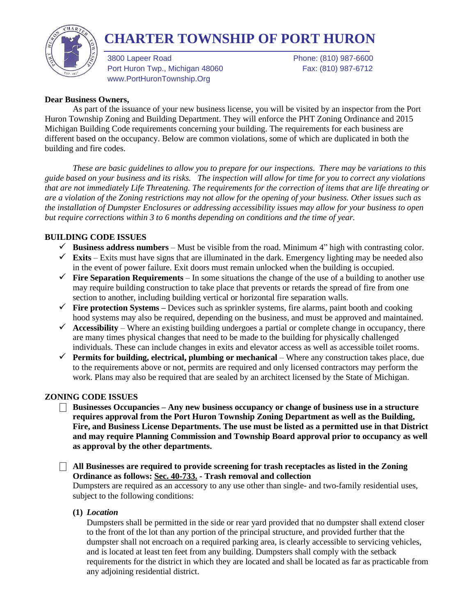

# **CHARTER TOWNSHIP OF PORT HURON**

3800 Lapeer Road Phone: (810) 987-6600 Port Huron Twp., Michigan 48060 Fax: (810) 987-6712 [www.PortHuronTownship.Org](http://www.porthurontownship.org/)

#### **Dear Business Owners,**

As part of the issuance of your new business license, you will be visited by an inspector from the Port Huron Township Zoning and Building Department. They will enforce the PHT Zoning Ordinance and 2015 Michigan Building Code requirements concerning your building. The requirements for each business are different based on the occupancy. Below are common violations, some of which are duplicated in both the building and fire codes.

*These are basic guidelines to allow you to prepare for our inspections. There may be variations to this guide based on your business and its risks. The inspection will allow for time for you to correct any violations that are not immediately Life Threatening. The requirements for the correction of items that are life threating or are a violation of the Zoning restrictions may not allow for the opening of your business. Other issues such as the installation of Dumpster Enclosures or addressing accessibility issues may allow for your business to open but require corrections within 3 to 6 months depending on conditions and the time of year.*

#### **BUILDING CODE ISSUES**

- ✓ **Business address numbers** Must be visible from the road. Minimum 4" high with contrasting color.
- $\checkmark$  **Exits** Exits must have signs that are illuminated in the dark. Emergency lighting may be needed also in the event of power failure. Exit doors must remain unlocked when the building is occupied.
- $\checkmark$  Fire Separation Requirements In some situations the change of the use of a building to another use may require building construction to take place that prevents or retards the spread of fire from one section to another, including building vertical or horizontal fire separation walls.
- ✓ **Fire protection Systems –** Devices such as sprinkler systems, fire alarms, paint booth and cooking hood systems may also be required, depending on the business, and must be approved and maintained.
- $\checkmark$  Accessibility Where an existing building undergoes a partial or complete change in occupancy, there are many times physical changes that need to be made to the building for physically challenged individuals. These can include changes in exits and elevator access as well as accessible toilet rooms.
- $\checkmark$  **Permits for building, electrical, plumbing or mechanical** Where any construction takes place, due to the requirements above or not, permits are required and only licensed contractors may perform the work. Plans may also be required that are sealed by an architect licensed by the State of Michigan.

#### **ZONING CODE ISSUES**

⎕ **Businesses Occupancies – Any new business occupancy or change of business use in a structure requires approval from the Port Huron Township Zoning Department as well as the Building, Fire, and Business License Departments. The use must be listed as a permitted use in that District and may require Planning Commission and Township Board approval prior to occupancy as well as approval by the other departments.**

#### □ All Businesses are required to provide screening for trash receptacles as listed in the Zoning **Ordinance as follows: [Sec. 40-733.](javascript:void(0)) - Trash removal and collection**

Dumpsters are required as an accessory to any use other than single- and two-family residential uses, subject to the following conditions:

#### **(1)** *Location*

Dumpsters shall be permitted in the side or rear yard provided that no dumpster shall extend closer to the front of the lot than any portion of the principal structure, and provided further that the dumpster shall not encroach on a required parking area, is clearly accessible to servicing vehicles, and is located at least ten feet from any building. Dumpsters shall comply with the setback requirements for the district in which they are located and shall be located as far as practicable from any adjoining residential district.